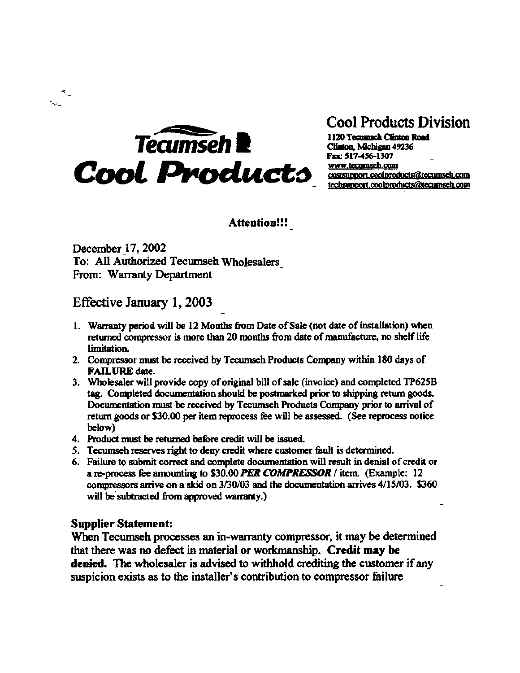

## **Cool Products Division**

1120 Tecumsch Clinton Road Clinton, Michigan 49236 Fax: 517-456-1307 www.tecumseh.com custsupport.coolproducts@tecumseh.com techsupport.coolproducts@tecumseh.com

Attention!!!

December 17, 2002 To: All Authorized Tecumseh Wholesalers From: Warranty Department

## Effective January 1, 2003

- 1. Warranty period will be 12 Months from Date of Sale (not date of installation) when returned compressor is more than 20 months from date of manufacture, no shelf life limitation.
- 2. Compressor must be received by Tecumseh Products Company within 180 days of **FAILURE** date.
- 3. Wholesaler will provide copy of original bill of sale (invoice) and completed TP625B tag. Completed documentation should be postmarked prior to shipping return goods. Documentation must be received by Tecumseh Products Company prior to arrival of return goods or \$30.00 per item reprocess fee will be assessed. (See reprocess notice below)
- 4. Product must be returned before credit will be issued.
- 5. Tecumseh reserves right to deny credit where customer fault is determined.
- 6. Failure to submit correct and complete documentation will result in denial of credit or a re-process fee amounting to \$30.00 PER COMPRESSOR / item. (Example: 12 compressors arrive on a skid on 3/30/03 and the documentation arrives 4/15/03. \$360 will be subtracted from approved warranty.)

## **Supplier Statement:**

When Tecumseh processes an in-warranty compressor, it may be determined that there was no defect in material or workmanship. Credit may be denied. The wholesaler is advised to withhold crediting the customer if any suspicion exists as to the installer's contribution to compressor failure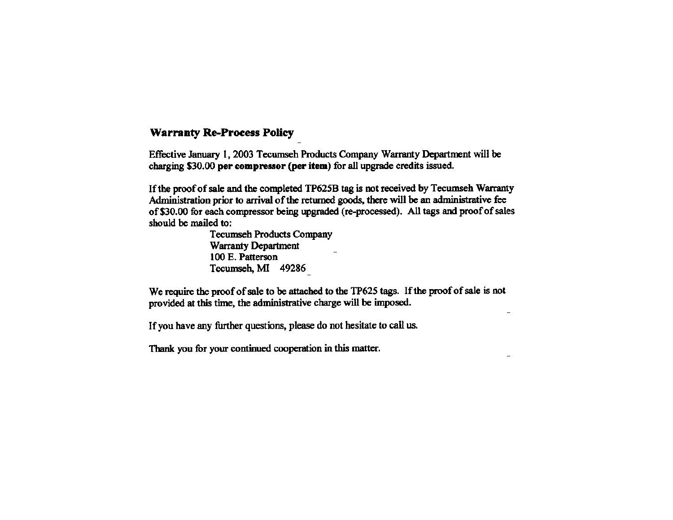## **Warranty Re-Process Policy**

Effective January 1, 2003 Tecumseh Products Company Warranty Department will be charging \$30.00 per compressor (per item) for all upgrade credits issued.

If the proof of sale and the completed TP625B tag is not received by Tecumseh Warranty Administration prior to arrival of the returned goods, there will be an administrative fee of \$30.00 for each compressor being upgraded (re-processed). All tags and proof of sales should be mailed to:

> **Tecumseh Products Company Warranty Department** 100 E. Patterson Tecumseh, MI 49286

We require the proof of sale to be attached to the TP625 tags. If the proof of sale is not provided at this time, the administrative charge will be imposed.

If you have any further questions, please do not hesitate to call us.

Thank you for your continued cooperation in this matter.